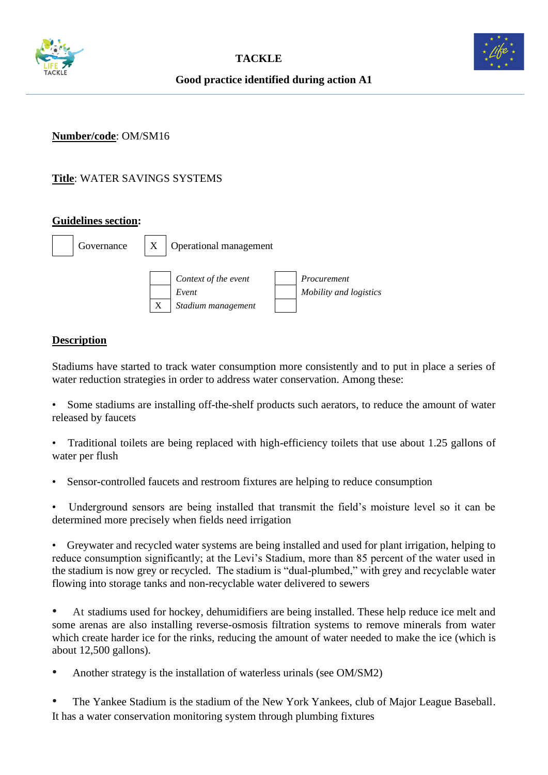



**Good practice identified during action A1**

## **Number/code**: OM/SM16

# **Title**: WATER SAVINGS SYSTEMS

#### **Guidelines section:**



### **Description**

Stadiums have started to track water consumption more consistently and to put in place a series of water reduction strategies in order to address water conservation. Among these:

• Some stadiums are installing off-the-shelf products such aerators, to reduce the amount of water released by faucets

- Traditional toilets are being replaced with high-efficiency toilets that use about 1.25 gallons of water per flush
- Sensor-controlled faucets and restroom fixtures are helping to reduce consumption

• Underground sensors are being installed that transmit the field's moisture level so it can be determined more precisely when fields need irrigation

• Greywater and recycled water systems are being installed and used for plant irrigation, helping to reduce consumption significantly; at the Levi's Stadium, more than 85 percent of the water used in the stadium is now grey or recycled. The stadium is "dual-plumbed," with grey and recyclable water flowing into storage tanks and non-recyclable water delivered to sewers

• At stadiums used for hockey, dehumidifiers are being installed. These help reduce ice melt and some arenas are also installing reverse-osmosis filtration systems to remove minerals from water which create harder ice for the rinks, reducing the amount of water needed to make the ice (which is about 12,500 gallons).

• Another strategy is the installation of [waterless urinals](http://www.waterless.com/) (see OM/SM2)

• The Yankee Stadium is the stadium of the New York Yankees, club of Major League Baseball. It has a water conservation monitoring system through plumbing fixtures